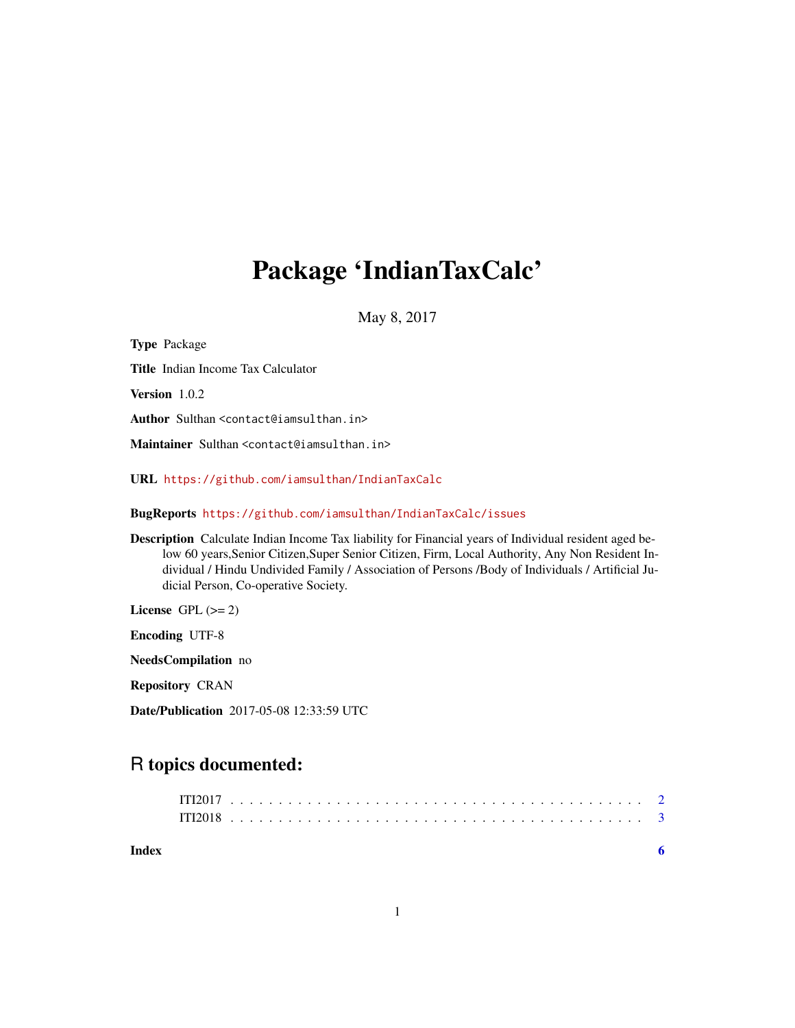## Package 'IndianTaxCalc'

May 8, 2017

| <b>Type Package</b>                                                                                                                                                                                                                                                                                                                                         |
|-------------------------------------------------------------------------------------------------------------------------------------------------------------------------------------------------------------------------------------------------------------------------------------------------------------------------------------------------------------|
| <b>Title</b> Indian Income Tax Calculator                                                                                                                                                                                                                                                                                                                   |
| Version 1.0.2                                                                                                                                                                                                                                                                                                                                               |
| Author Sulthan <contact@iamsulthan.in></contact@iamsulthan.in>                                                                                                                                                                                                                                                                                              |
| Maintainer Sulthan <contact@iamsulthan.in></contact@iamsulthan.in>                                                                                                                                                                                                                                                                                          |
| URL https://github.com/iamsulthan/IndianTaxCalc                                                                                                                                                                                                                                                                                                             |
| BugReports https://github.com/iamsulthan/IndianTaxCalc/issues                                                                                                                                                                                                                                                                                               |
| <b>Description</b> Calculate Indian Income Tax liability for Financial years of Individual resident aged be-<br>low 60 years, Senior Citizen, Super Senior Citizen, Firm, Local Authority, Any Non Resident In-<br>dividual / Hindu Undivided Family / Association of Persons /Body of Individuals / Artificial Ju-<br>dicial Person, Co-operative Society. |
| License GPL $(>= 2)$                                                                                                                                                                                                                                                                                                                                        |
| <b>Encoding UTF-8</b>                                                                                                                                                                                                                                                                                                                                       |
| <b>NeedsCompilation</b> no                                                                                                                                                                                                                                                                                                                                  |
| <b>Repository CRAN</b>                                                                                                                                                                                                                                                                                                                                      |
| <b>Date/Publication</b> 2017-05-08 12:33:59 UTC                                                                                                                                                                                                                                                                                                             |

### R topics documented:

| Index |  |  |  |  |  |  |  |  |  |  |  |  |  |  |  |  |  |  |  |  |  |  |  |
|-------|--|--|--|--|--|--|--|--|--|--|--|--|--|--|--|--|--|--|--|--|--|--|--|
|       |  |  |  |  |  |  |  |  |  |  |  |  |  |  |  |  |  |  |  |  |  |  |  |
|       |  |  |  |  |  |  |  |  |  |  |  |  |  |  |  |  |  |  |  |  |  |  |  |
|       |  |  |  |  |  |  |  |  |  |  |  |  |  |  |  |  |  |  |  |  |  |  |  |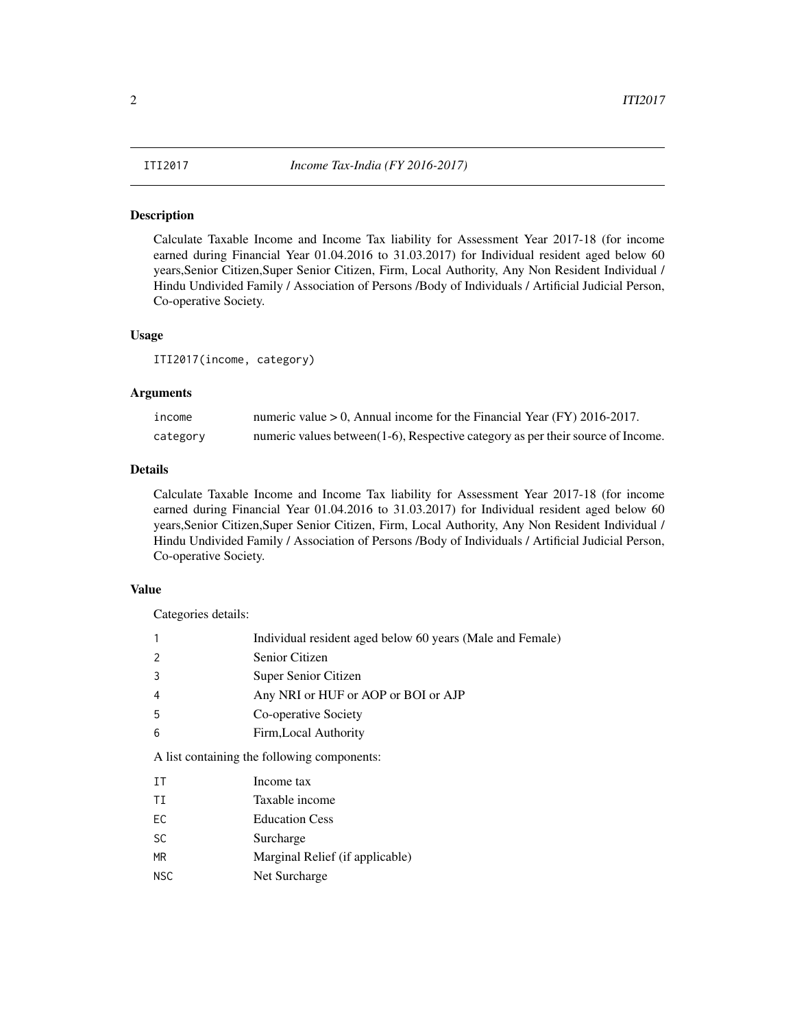#### <span id="page-1-0"></span>**Description**

Calculate Taxable Income and Income Tax liability for Assessment Year 2017-18 (for income earned during Financial Year 01.04.2016 to 31.03.2017) for Individual resident aged below 60 years,Senior Citizen,Super Senior Citizen, Firm, Local Authority, Any Non Resident Individual / Hindu Undivided Family / Association of Persons /Body of Individuals / Artificial Judicial Person, Co-operative Society.

#### Usage

ITI2017(income, category)

#### Arguments

| income   | numeric value $> 0$ , Annual income for the Financial Year (FY) 2016-2017.          |
|----------|-------------------------------------------------------------------------------------|
| category | numeric values between $(1-6)$ , Respective category as per their source of Income. |

#### Details

Calculate Taxable Income and Income Tax liability for Assessment Year 2017-18 (for income earned during Financial Year 01.04.2016 to 31.03.2017) for Individual resident aged below 60 years,Senior Citizen,Super Senior Citizen, Firm, Local Authority, Any Non Resident Individual / Hindu Undivided Family / Association of Persons /Body of Individuals / Artificial Judicial Person, Co-operative Society.

#### Value

Categories details:

|                                             | Individual resident aged below 60 years (Male and Female) |  |  |  |  |
|---------------------------------------------|-----------------------------------------------------------|--|--|--|--|
|                                             | Senior Citizen                                            |  |  |  |  |
|                                             | Super Senior Citizen                                      |  |  |  |  |
| 4                                           | Any NRI or HUF or AOP or BOI or AJP                       |  |  |  |  |
| -5                                          | Co-operative Society                                      |  |  |  |  |
| 6                                           | Firm, Local Authority                                     |  |  |  |  |
| A list containing the following components: |                                                           |  |  |  |  |

IT Income tax

- TI Taxable income
- EC Education Cess
- SC Surcharge
- MR Marginal Relief (if applicable)
- NSC Net Surcharge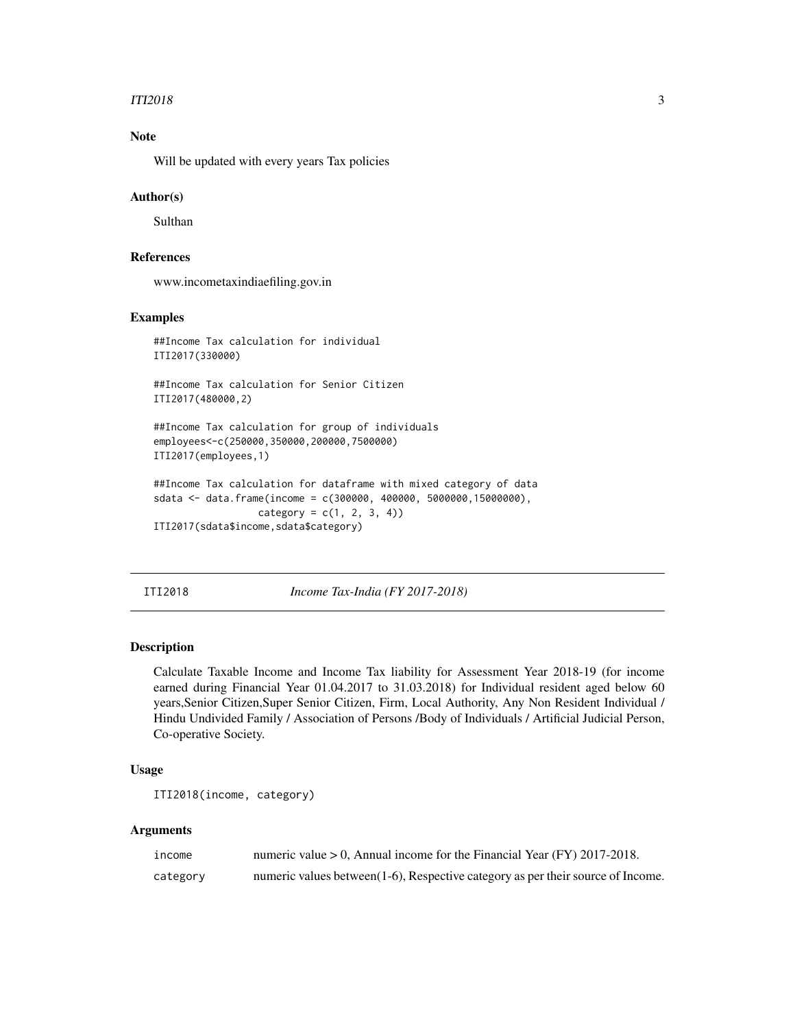#### <span id="page-2-0"></span> $ITI2018$  3

#### Note

Will be updated with every years Tax policies

#### Author(s)

Sulthan

### References

www.incometaxindiaefiling.gov.in

#### Examples

```
##Income Tax calculation for individual
ITI2017(330000)
```
##Income Tax calculation for Senior Citizen ITI2017(480000,2)

```
##Income Tax calculation for group of individuals
employees<-c(250000,350000,200000,7500000)
ITI2017(employees,1)
```

```
##Income Tax calculation for dataframe with mixed category of data
sdata <- data.frame(income = c(300000, 400000, 5000000,15000000),
                  category = c(1, 2, 3, 4))ITI2017(sdata$income,sdata$category)
```
#### ITI2018 *Income Tax-India (FY 2017-2018)*

#### Description

Calculate Taxable Income and Income Tax liability for Assessment Year 2018-19 (for income earned during Financial Year 01.04.2017 to 31.03.2018) for Individual resident aged below 60 years,Senior Citizen,Super Senior Citizen, Firm, Local Authority, Any Non Resident Individual / Hindu Undivided Family / Association of Persons /Body of Individuals / Artificial Judicial Person, Co-operative Society.

#### Usage

```
ITI2018(income, category)
```
#### Arguments

| income   | numeric value $> 0$ , Annual income for the Financial Year (FY) 2017-2018.       |
|----------|----------------------------------------------------------------------------------|
| category | numeric values between (1-6), Respective category as per their source of Income. |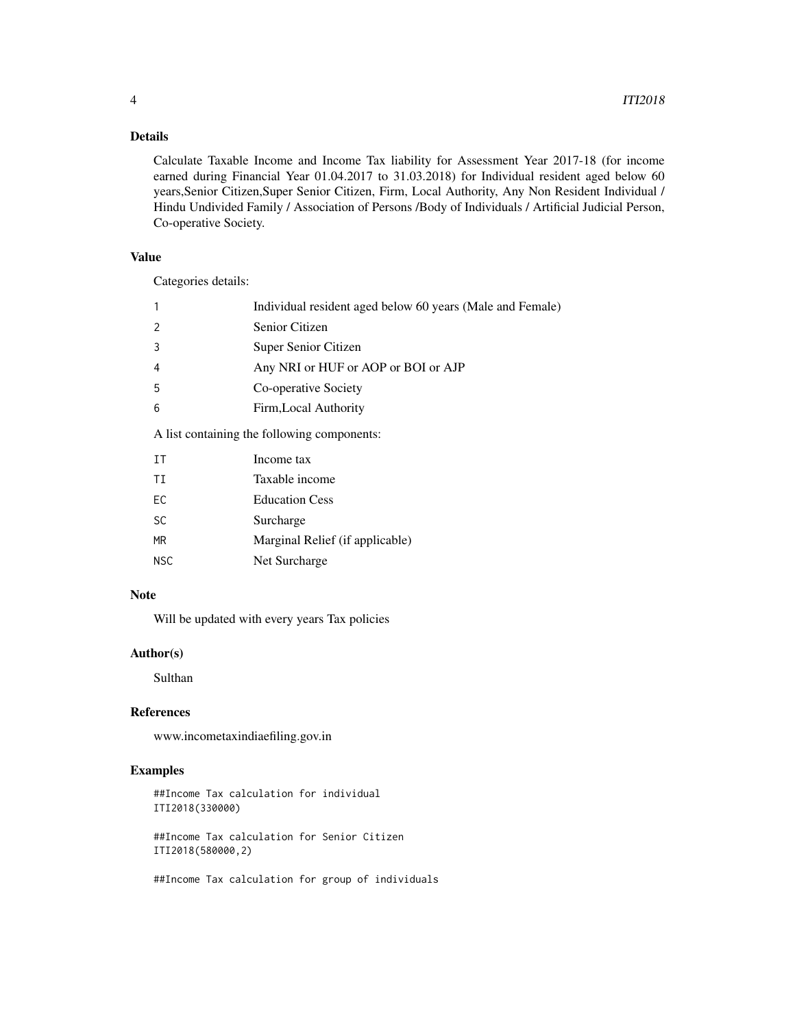#### Details

Calculate Taxable Income and Income Tax liability for Assessment Year 2017-18 (for income earned during Financial Year 01.04.2017 to 31.03.2018) for Individual resident aged below 60 years,Senior Citizen,Super Senior Citizen, Firm, Local Authority, Any Non Resident Individual / Hindu Undivided Family / Association of Persons /Body of Individuals / Artificial Judicial Person, Co-operative Society.

#### Value

Categories details:

|                                            | Individual resident aged below 60 years (Male and Female) |  |  |  |  |
|--------------------------------------------|-----------------------------------------------------------|--|--|--|--|
|                                            | Senior Citizen                                            |  |  |  |  |
|                                            | Super Senior Citizen                                      |  |  |  |  |
| 4                                          | Any NRI or HUF or AOP or BOI or AJP                       |  |  |  |  |
| -5                                         | Co-operative Society                                      |  |  |  |  |
| 6                                          | Firm, Local Authority                                     |  |  |  |  |
| A list containing the following components |                                                           |  |  |  |  |

ng the following compo

| TT        | Income tax                      |
|-----------|---------------------------------|
| ΤT        | Taxable income                  |
| FC.       | <b>Education Cess</b>           |
| <b>SC</b> | Surcharge                       |
| <b>MR</b> | Marginal Relief (if applicable) |
| NSC.      | Net Surcharge                   |
|           |                                 |

#### Note

Will be updated with every years Tax policies

#### Author(s)

Sulthan

#### References

www.incometaxindiaefiling.gov.in

#### Examples

##Income Tax calculation for individual ITI2018(330000)

##Income Tax calculation for Senior Citizen ITI2018(580000,2)

##Income Tax calculation for group of individuals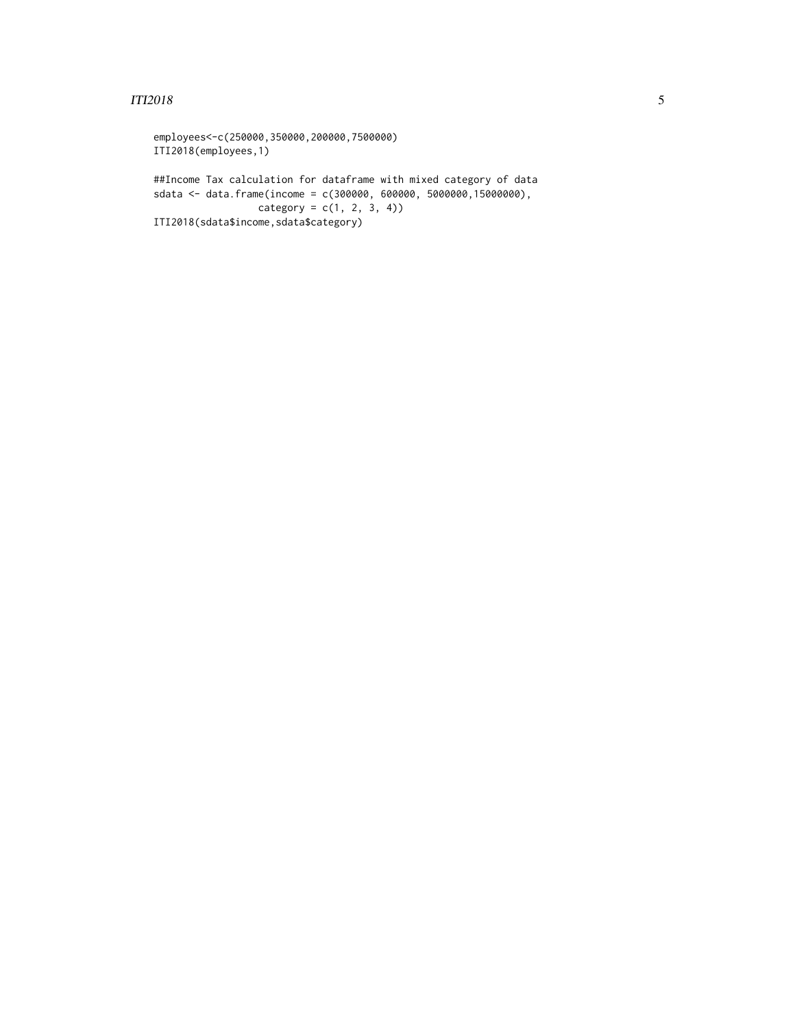#### $ITI2018$  5

```
employees<-c(250000,350000,200000,7500000)
ITI2018(employees,1)
##Income Tax calculation for dataframe with mixed category of data
sdata <- data.frame(income = c(300000, 600000, 5000000,15000000),
                 category = c(1, 2, 3, 4)ITI2018(sdata$income,sdata$category)
```